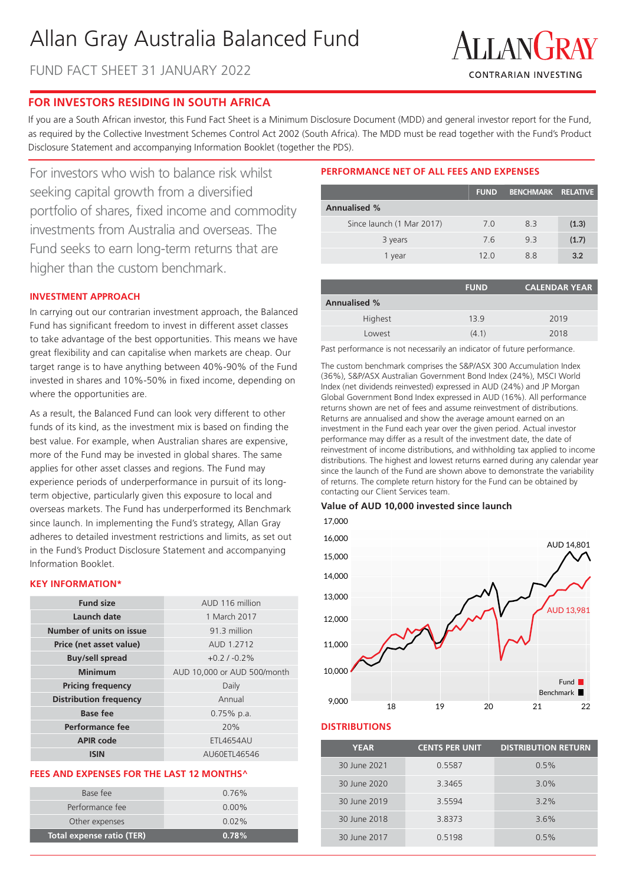# Allan Gray Australia Balanced Fund

FUND FACT SHEET 31 JANUARY 2022



# **FOR INVESTORS RESIDING IN SOUTH AFRICA**

If you are a South African investor, this Fund Fact Sheet is a Minimum Disclosure Document (MDD) and general investor report for the Fund, as required by the Collective Investment Schemes Control Act 2002 (South Africa). The MDD must be read together with the Fund's Product Disclosure Statement and accompanying Information Booklet (together the PDS).

For investors who wish to balance risk whilst seeking capital growth from a diversified portfolio of shares, fixed income and commodity investments from Australia and overseas. The Fund seeks to earn long-term returns that are higher than the custom benchmark.

# **INVESTMENT APPROACH**

In carrying out our contrarian investment approach, the Balanced Fund has significant freedom to invest in different asset classes to take advantage of the best opportunities. This means we have great flexibility and can capitalise when markets are cheap. Our target range is to have anything between 40%-90% of the Fund invested in shares and 10%-50% in fixed income, depending on where the opportunities are.

As a result, the Balanced Fund can look very different to other funds of its kind, as the investment mix is based on finding the best value. For example, when Australian shares are expensive, more of the Fund may be invested in global shares. The same applies for other asset classes and regions. The Fund may experience periods of underperformance in pursuit of its longterm objective, particularly given this exposure to local and overseas markets. The Fund has underperformed its Benchmark since launch. In implementing the Fund's strategy, Allan Gray adheres to detailed investment restrictions and limits, as set out in the Fund's Product Disclosure Statement and accompanying Information Booklet.

# **KEY INFORMATION\***

| <b>Fund size</b>              | AUD 116 million             |
|-------------------------------|-----------------------------|
| Launch date                   | 1 March 2017                |
| Number of units on issue      | 91.3 million                |
| Price (net asset value)       | AUD 1.2712                  |
| <b>Buy/sell spread</b>        | $+0.2$ / $-0.2%$            |
| Minimum                       | AUD 10,000 or AUD 500/month |
| <b>Pricing frequency</b>      | Daily                       |
| <b>Distribution frequency</b> | Annual                      |
| <b>Base fee</b>               | $0.75\%$ p.a.               |
| Performance fee               | 20%                         |
| <b>APIR code</b>              | <b>ETL4654AU</b>            |
| ISIN                          | AU60ETL46546                |

### **FEES AND EXPENSES FOR THE LAST 12 MONTHS^**

| Total expense ratio (TER) | 0.78%    |
|---------------------------|----------|
| Other expenses            | $0.02\%$ |
| Performance fee           | $0.00\%$ |
| Base fee                  | $0.76\%$ |
|                           |          |

# **PERFORMANCE NET OF ALL FEES AND EXPENSES**

|                           | <b>FUND</b> | <b>BENCHMARK RELATIVE</b> |       |
|---------------------------|-------------|---------------------------|-------|
| <b>Annualised %</b>       |             |                           |       |
| Since launch (1 Mar 2017) | 7.0         | 83                        | (1.3) |
| 3 years                   | 7.6         | 93                        | (1.7) |
| 1 year                    | 12 O        | 88                        | 3.2   |

|                     | <b>FUND</b> | <b>CALENDAR YEAR</b> |
|---------------------|-------------|----------------------|
| <b>Annualised %</b> |             |                      |
| Highest             | 139         | 2019                 |
| Lowest              | (4.1)       | 2018                 |

Past performance is not necessarily an indicator of future performance.

The custom benchmark comprises the S&P/ASX 300 Accumulation Index (36%), S&P/ASX Australian Government Bond Index (24%), MSCI World Index (net dividends reinvested) expressed in AUD (24%) and JP Morgan Global Government Bond Index expressed in AUD (16%). All performance returns shown are net of fees and assume reinvestment of distributions. Returns are annualised and show the average amount earned on an investment in the Fund each year over the given period. Actual investor performance may differ as a result of the investment date, the date of reinvestment of income distributions, and withholding tax applied to income distributions. The highest and lowest returns earned during any calendar year since the launch of the Fund are shown above to demonstrate the variability of returns. The complete return history for the Fund can be obtained by contacting our Client Services team.

### **Value of AUD 10,000 invested since launch**





# **DISTRIBUTIONS**

| <b>YEAR</b>  | <b>CENTS PER UNIT</b> | <b>DISTRIBUTION RETURN</b> |
|--------------|-----------------------|----------------------------|
| 30 June 2021 | 0.5587                | 0.5%                       |
| 30 June 2020 | 3.3465                | 3.0%                       |
| 30 June 2019 | 3.5594                | $3.2\%$                    |
| 30 June 2018 | 3.8373                | 3.6%                       |
| 30 June 2017 | 0.5198                | 0.5%                       |